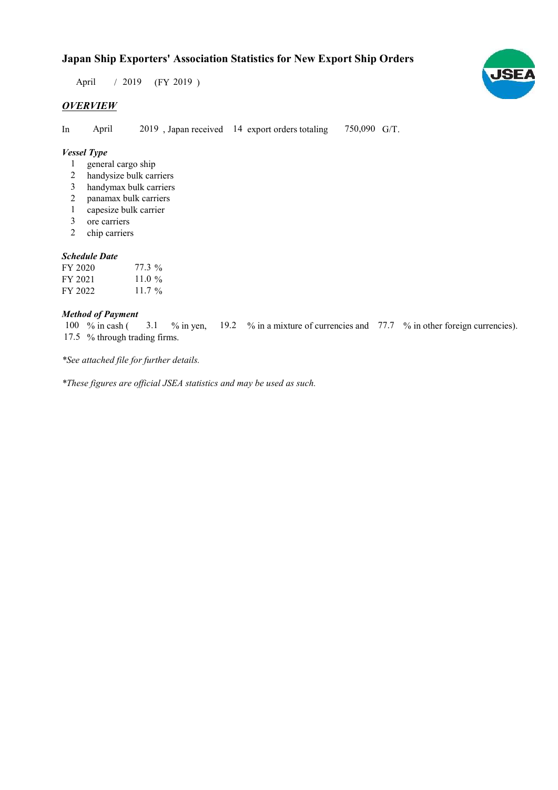## Japan Ship Exporters' Association Statistics for New Export Ship Orders

 $/ 2019$  (FY 2019) April

## **OVERVIEW**

In April 2019, Japan received 14 export orders totaling 750,090 G/T.

#### Vessel Type

- general cargo ship 1
- handysize bulk carriers 2
- handymax bulk carriers 3
- panamax bulk carriers 2
- capesize bulk carrier 1
- ore carriers 3
- chip carriers 2

#### Schedule Date

| FY 2020 | 77.3 %             |
|---------|--------------------|
| FY 2021 | 11.0 $\%$          |
| FY 2022 | 11.7 $\frac{0}{0}$ |

#### Method of Payment

% in cash ( $\frac{3.1}{8}$  % in yen,  $\frac{19.2}{8}$  % in a mixture of currencies and  $\frac{77.7}{8}$  % in other foreign currencies). 17.5 % through trading firms. 3.1 100 % in cash (

\*See attached file for further details.

\*These figures are official JSEA statistics and may be used as such.

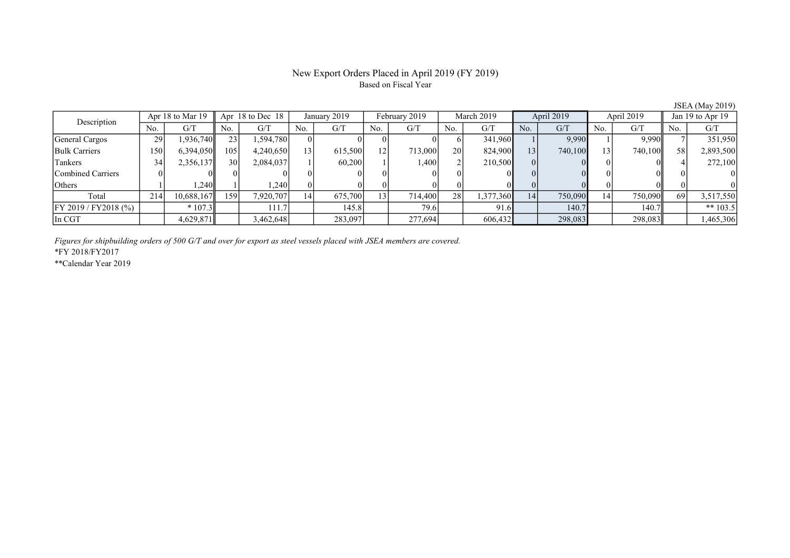#### New Export Orders Placed in April 2019 (FY 2019) Based on Fiscal Year

No. | G/T || No. | G/T || No. | G/T || No. | G/T || No. | G/T || No. | G/T || No. | G/T || No. | G/T General Cargos 29 1,936,740 23 1,594,780 0 0 0 0 6 341,960 1 9,990 1 9,990 7 351,950 Bulk Carriers 150 6,394,050 105 4,240,650 13 615,500 12 713,000 20 824,900 13 740,100 13 740,100 58 2,893,500 Tankers 19, 34 2,356,137 30 2,084,037 1 60,200 1 1,400 2 210,500 0 0 0 0 0 1 272,100 Combined Carriers 0 0 0 0 0 0 0 0 0 0 0 0 0 0 0 0 Others 1 1 1,240 1 1,240 0 0 0 0 0 0 0 0 0 0 0 0 0 Total 214 10,688,167 159 7,920,707 14 675,700 13 714,400 28 1,377,360 14 750,090 14 750,090 69 3,517,550 FY 2019 / FY2018 (%) | \* 107.3 | 111.7 | 145.8 | 79.6 | 91.6 | 140.7 | 140.7 | \*\* 103.5 In CGT 1,4629,871 3,462,648 283,097 277,694 606,432 298,083 298,083 1,465,306 Description Apr 18 to Mar 19 Apr 18 to Dec 18 January 2019 February 2019<br>No. 6/T No. 6/T No. 6/T No. 6/T March 2019 April 2019 April 2019 Jan 19 to Apr 19

Figures for shipbuilding orders of 500 G/T and over for export as steel vessels placed with JSEA members are covered.

\*FY 2018/FY2017

\*\*Calendar Year 2019

JSEA (May 2019)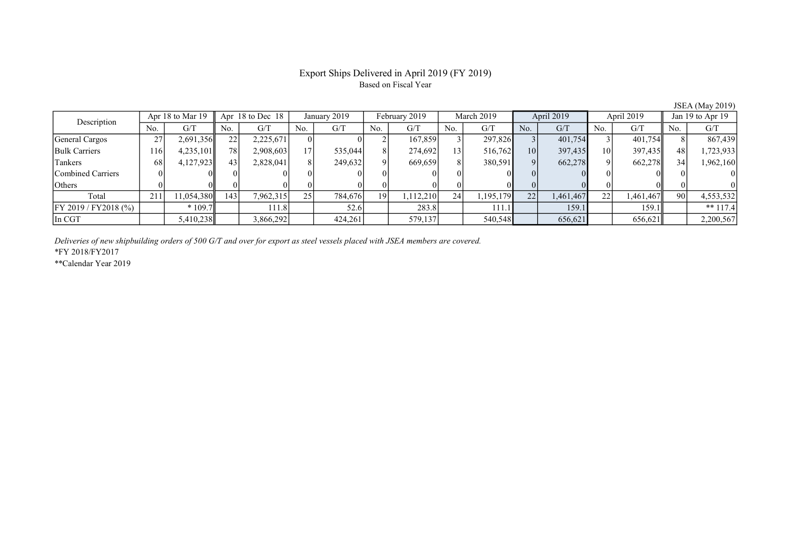## Export Ships Delivered in April 2019 (FY 2019) Based on Fiscal Year

JSEA (May 2019)

| Description               | Apr 18 to Mar 19 |           | Apr $18$ to Dec $18$ |           | January 2019 |         | February 2019 |           | March 2019 |           | April 2019 |           | April 2019      |           | Jan 19 to Apr 19 |            |
|---------------------------|------------------|-----------|----------------------|-----------|--------------|---------|---------------|-----------|------------|-----------|------------|-----------|-----------------|-----------|------------------|------------|
|                           | No.              | G/T       | No.                  | G/T       | No.          | G/T     | No.           | G/T       | No.        | G/T       | No.        | G/T       | No.             | G/T       | No.              | G/T        |
| General Cargos            | 27               | 2,691,356 | 22                   | 2,225,671 |              |         |               | 167,859   |            | 297,826   |            | 401,754   |                 | 401,754   |                  | 867,439    |
| <b>Bulk Carriers</b>      | 1161             | 4,235,101 | 78                   | 2,908,603 |              | 535,044 | 8             | 274,692   | 131        | 516,762   | 10         | 397,435   | 10 <sup>1</sup> | 397,435   | 48               | 1,723,933  |
| Tankers                   | 68               | 4,127,923 | 43                   | 2,828,041 |              | 249,632 | $\mathbf{Q}$  | 669,659   | 8          | 380,591   |            | 662,278   |                 | 662,278   | 34               | 1,962,160  |
| Combined Carriers         |                  |           |                      |           |              |         |               |           |            |           |            |           |                 |           |                  |            |
| <b>Others</b>             |                  |           |                      |           |              |         |               |           | $_{0}$     |           |            |           |                 |           |                  |            |
| Total                     | 211              | 1,054,380 | 143                  | 7,962,315 | 25           | 784,676 | 191           | 1,112,210 | 24         | 1,195,179 | 22         | 1,461,467 | 22              | 1,461,467 | 90 <sup>1</sup>  | 4,553,532  |
| $[$ FY 2019 / FY 2018 (%) |                  | $*109.7$  |                      | 111.8 l   |              | 52.6    |               | 283.8     |            | 111.1     |            | 159.1     |                 | 159.1     |                  | ** $117.4$ |
| In CGT                    |                  | 5,410,238 |                      | 3,866,292 |              | 424,261 |               | 579,137   |            | 540,548   |            | 656,621   |                 | 656,621   |                  | 2,200,567  |

Deliveries of new shipbuilding orders of 500 G/T and over for export as steel vessels placed with JSEA members are covered.

\*FY 2018/FY2017

\*\*Calendar Year 2019